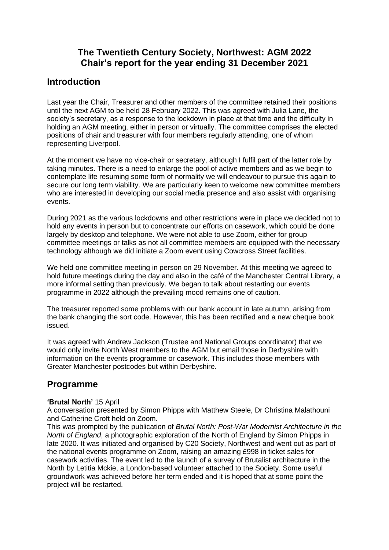# **The Twentieth Century Society, Northwest: AGM 2022 Chair's report for the year ending 31 December 2021**

# **Introduction**

Last year the Chair, Treasurer and other members of the committee retained their positions until the next AGM to be held 28 February 2022. This was agreed with Julia Lane, the society's secretary, as a response to the lockdown in place at that time and the difficulty in holding an AGM meeting, either in person or virtually. The committee comprises the elected positions of chair and treasurer with four members regularly attending, one of whom representing Liverpool.

At the moment we have no vice-chair or secretary, although I fulfil part of the latter role by taking minutes. There is a need to enlarge the pool of active members and as we begin to contemplate life resuming some form of normality we will endeavour to pursue this again to secure our long term viability. We are particularly keen to welcome new committee members who are interested in developing our social media presence and also assist with organising events.

During 2021 as the various lockdowns and other restrictions were in place we decided not to hold any events in person but to concentrate our efforts on casework, which could be done largely by desktop and telephone. We were not able to use Zoom, either for group committee meetings or talks as not all committee members are equipped with the necessary technology although we did initiate a Zoom event using Cowcross Street facilities.

We held one committee meeting in person on 29 November. At this meeting we agreed to hold future meetings during the day and also in the café of the Manchester Central Library, a more informal setting than previously. We began to talk about restarting our events programme in 2022 although the prevailing mood remains one of caution.

The treasurer reported some problems with our bank account in late autumn, arising from the bank changing the sort code. However, this has been rectified and a new cheque book issued.

It was agreed with Andrew Jackson (Trustee and National Groups coordinator) that we would only invite North West members to the AGM but email those in Derbyshire with information on the events programme or casework. This includes those members with Greater Manchester postcodes but within Derbyshire.

# **Programme**

## **'Brutal North'** 15 April

A conversation presented by Simon Phipps with Matthew Steele, Dr Christina Malathouni and Catherine Croft held on Zoom.

This was prompted by the publication of *Brutal North: Post-War Modernist Architecture in the North of England*, a photographic exploration of the North of England by Simon Phipps in late 2020. It was initiated and organised by C20 Society, Northwest and went out as part of the national events programme on Zoom, raising an amazing £998 in ticket sales for casework activities. The event led to the launch of a survey of Brutalist architecture in the North by Letitia Mckie, a London-based volunteer attached to the Society. Some useful groundwork was achieved before her term ended and it is hoped that at some point the project will be restarted.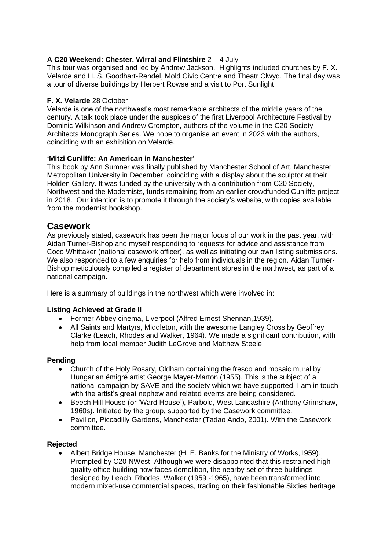## **A C20 Weekend: Chester, Wirral and Flintshire** 2 – 4 July

This tour was organised and led by Andrew Jackson. Highlights included churches by F. X. Velarde and H. S. Goodhart-Rendel, Mold Civic Centre and Theatr Clwyd. The final day was a tour of diverse buildings by Herbert Rowse and a visit to Port Sunlight.

### **[F. X. Velarde](https://c20society.org.uk/product/f-x-velarde)** 28 October

Velarde is one of the northwest's most remarkable architects of the middle years of the century. A talk took place under the auspices of the first Liverpool Architecture Festival by Dominic Wilkinson and Andrew Crompton, authors of the volume in the C20 Society Architects Monograph Series. We hope to organise an event in 2023 with the authors, coinciding with an exhibition on Velarde.

### **'Mitzi Cunliffe: An American in Manchester'**

This book by Ann Sumner was finally published by Manchester School of Art, Manchester Metropolitan University in December, coinciding with a display about the sculptor at their Holden Gallery. It was funded by the university with a contribution from C20 Society, Northwest and the Modernists, funds remaining from an earlier crowdfunded Cunliffe project in 2018. Our intention is to promote it through the society's website, with copies available from the modernist bookshop.

## **Casework**

As previously stated, casework has been the major focus of our work in the past year, with Aidan Turner-Bishop and myself responding to requests for advice and assistance from Coco Whittaker (national casework officer), as well as initiating our own listing submissions. We also responded to a few enquiries for help from individuals in the region. Aidan Turner-Bishop meticulously compiled a register of department stores in the northwest, as part of a national campaign.

Here is a summary of buildings in the northwest which were involved in:

#### **Listing Achieved at Grade II**

- Former Abbey cinema, Liverpool (Alfred Ernest Shennan,1939).
- All Saints and Martyrs, Middleton, with the awesome Langley Cross by Geoffrey Clarke (Leach, Rhodes and Walker, 1964). We made a significant contribution, with help from local member Judith LeGrove and Matthew Steele

### **Pending**

- Church of the Holy Rosary, Oldham containing the fresco and mosaic mural by Hungarian émigré artist George Mayer-Marton (1955). This is the subject of a national campaign by SAVE and the society which we have supported. I am in touch with the artist's great nephew and related events are being considered.
- Beech Hill House (or 'Ward House'), Parbold, West Lancashire (Anthony Grimshaw, 1960s). Initiated by the group, supported by the Casework committee.
- Pavilion, Piccadilly Gardens, Manchester (Tadao Ando, 2001). With the Casework committee.

#### **Rejected**

• Albert Bridge House, Manchester (H. E. Banks for the Ministry of Works,1959). Prompted by C20 NWest. Although we were disappointed that this restrained high quality office building now faces demolition, the nearby set of three buildings designed by Leach, Rhodes, Walker (1959 -1965), have been transformed into modern mixed-use commercial spaces, trading on their fashionable Sixties heritage